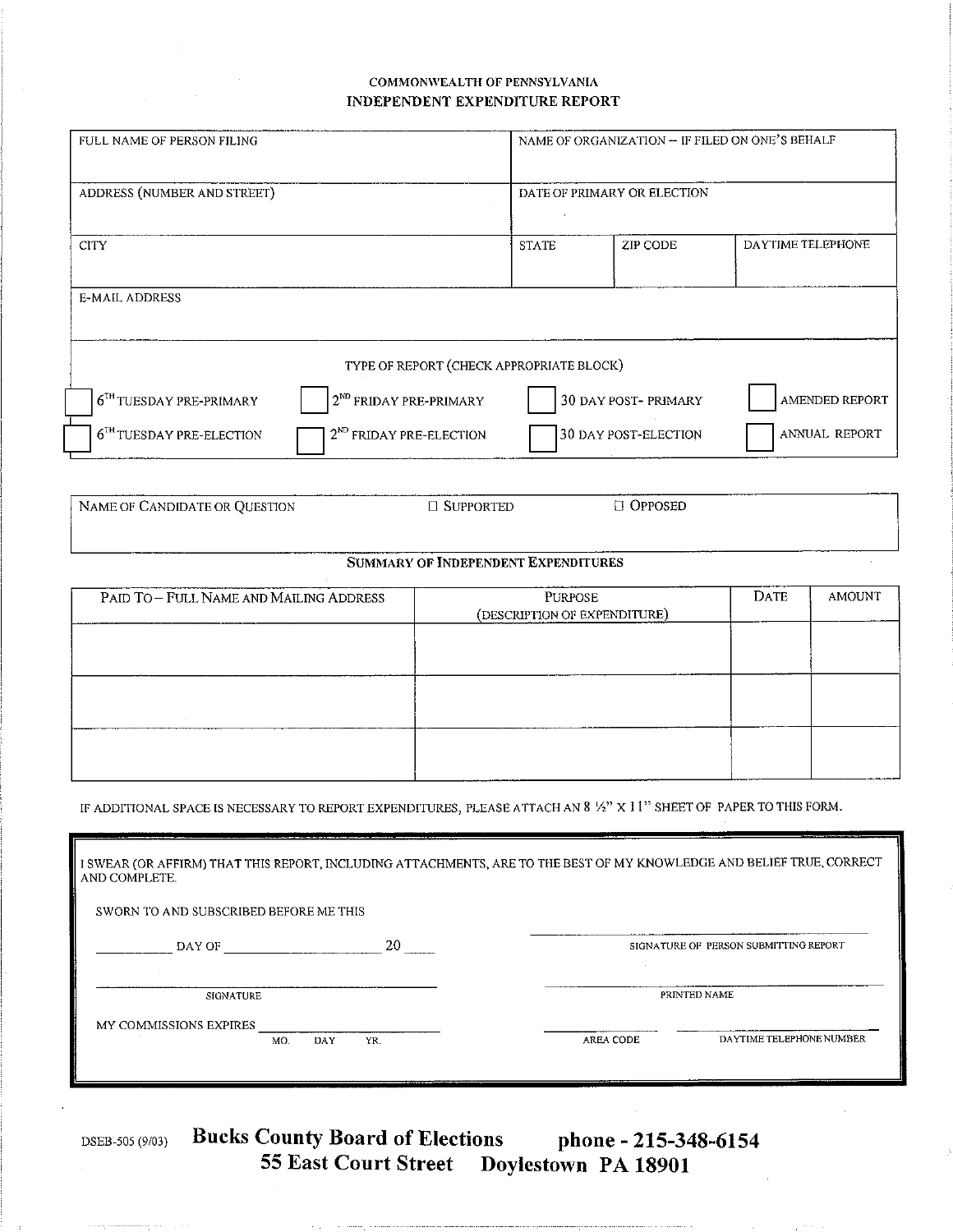## COMMONWEALTH OF PENNSYLVANIA INDEPENDENT EXPENDITURE REPORT

| FULL NAME OF PERSON FILING                                                | NAME OF ORGANIZATION - IF FILED ON ONE'S BEHALF |                            |                   |  |  |  |
|---------------------------------------------------------------------------|-------------------------------------------------|----------------------------|-------------------|--|--|--|
| ADDRESS (NUMBER AND STREET)                                               | DATE OF PRIMARY OR ELECTION                     |                            |                   |  |  |  |
| <b>CITY</b>                                                               | <b>STATE</b>                                    | ZIP CODE                   | DAYTIME TELEPHONE |  |  |  |
| <b>E-MAIL ADDRESS</b>                                                     |                                                 |                            |                   |  |  |  |
| TYPE OF REPORT (CHECK APPROPRIATE BLOCK)                                  |                                                 |                            |                   |  |  |  |
| 2 <sup>ND</sup> FRIDAY PRE-PRIMARY<br>6 <sup>TH</sup> TUESDAY PRE-PRIMARY |                                                 | <b>30 DAY POST-PRIMARY</b> | AMENDED REPORT    |  |  |  |
| 2 <sup>ND</sup> FRIDAY PRE-ELECTION<br>$6TH TUESDAY PRE-ELECTION$         |                                                 | 30 DAY POST-ELECTION       | ANNUAL REPORT     |  |  |  |

NAME OF CANDIDATE OR QUESTION  $\Box$  OPPOSED □ SUPPORTED

## SUMMARY OF INDEPENDENT EXPENDITURES

| PAID TO - FULL NAME AND MAILING ADDRESS | <b>PURPOSE</b><br>(DESCRIPTION OF EXPENDITURE) | DATE | <b>AMOUNT</b> |
|-----------------------------------------|------------------------------------------------|------|---------------|
|                                         |                                                |      |               |
|                                         |                                                |      |               |
|                                         |                                                |      |               |
|                                         |                                                |      |               |
|                                         |                                                |      |               |

IF ADDITIONAL SPACE IS NECESSARY TO REPORT EXPENDITURES, PLEASE ATTACH AN 8 1/2" X 11" SHEET OF PAPER TO THIS FORM.

| I SWEAR (OR AFFIRM) THAT THIS REPORT, INCLUDING ATTACHMENTS, ARE TO THE BEST OF MY KNOWLEDGE AND BELIEF TRUE, CORRECT<br>AND COMPLETE. |            |           |                                       |  |  |
|----------------------------------------------------------------------------------------------------------------------------------------|------------|-----------|---------------------------------------|--|--|
| SWORN TO AND SUBSCRIBED BEFORE ME THIS                                                                                                 |            |           |                                       |  |  |
| DAY OF                                                                                                                                 | 20         |           | SIGNATURE OF PERSON SUBMITTING REPORT |  |  |
| SIGNATURE                                                                                                                              |            |           | PRINTED NAME                          |  |  |
| MY COMMISSIONS EXPIRES<br>MO.                                                                                                          | DAY<br>YR. | AREA CODE | DAYTIME TELEPHONE NUMBER              |  |  |
|                                                                                                                                        |            |           |                                       |  |  |

DSEB-505 (9/03)

Bucks County Board of Elections phone - 215-348-6154<br>55 East Court Street Doylestown PA 18901